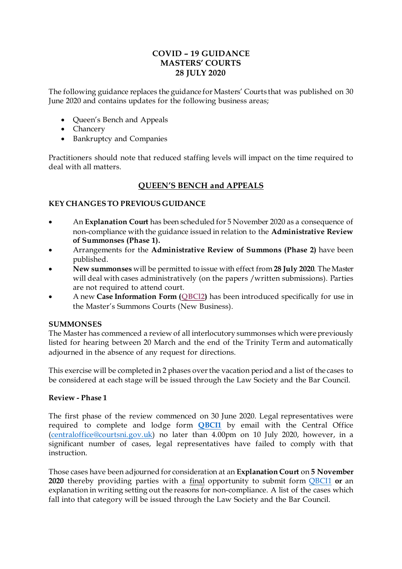# **COVID – 19 GUIDANCE MASTERS' COURTS 28 JULY 2020**

The following guidance replaces the guidance for Masters' Courts that was published on 30 June 2020 and contains updates for the following business areas;

- Queen's Bench and Appeals
- Chancery
- Bankruptcy and Companies

Practitioners should note that reduced staffing levels will impact on the time required to deal with all matters.

# **QUEEN'S BENCH and APPEALS**

## **KEY CHANGES TO PREVIOUS GUIDANCE**

- An **Explanation Court** has been scheduled for 5 November 2020 as a consequence of non-compliance with the guidance issued in relation to the **Administrative Review of Summonses (Phase 1).**
- Arrangements for the **Administrative Review of Summons (Phase 2)** have been published.
- **New summonses** will be permitted to issue with effect from **28 July 2020**. The Master will deal with cases administratively (on the papers /written submissions). Parties are not required to attend court.
- A new **Case Information Form ([QBCl2\)](https://judiciaryni.uk/sites/judiciary/files/media-files/FORM%20QBCI2%20%20QUEENS%20BENCH%20DIVISION%20-%20Masters%20Summons%20Court%20-%20Final%20versio....doc)** has been introduced specifically for use in the Master's Summons Courts (New Business).

### **SUMMONSES**

The Master has commenced a review of all interlocutory summonses which were previously listed for hearing between 20 March and the end of the Trinity Term and automatically adjourned in the absence of any request for directions.

This exercise will be completed in 2 phases over the vacation period and a list of the cases to be considered at each stage will be issued through the Law Society and the Bar Council.

### **Review - Phase 1**

The first phase of the review commenced on 30 June 2020. Legal representatives were required to complete and lodge form **[QBCI1](https://judiciaryni.uk/sites/judiciary/files/media-files/FORM%20QBCI1%20%20QUEENS%20BENCH%20DIVISION%20Business%20Continuity%20Covid%2019%20V5.0%20Issued%205.6.20.DOC)** by email with the Central Office [\(centraloffice@courtsni.gov.uk](mailto:centraloffice@courtsni.gov.uk)) no later than 4.00pm on 10 July 2020, however, in a significant number of cases, legal representatives have failed to comply with that instruction.

Those cases have been adjourned for consideration at an **Explanation Court** on **5 November 2020** thereby providing parties with a final opportunity to submit form [QBCI1](https://judiciaryni.uk/sites/judiciary/files/media-files/FORM%20QBCI1%20%20QUEENS%20BENCH%20DIVISION%20Business%20Continuity%20Covid%2019%20V5.0%20Issued%205.6.20.DOC) **or** an explanation in writing setting out the reasons for non-compliance. A list of the cases which fall into that category will be issued through the Law Society and the Bar Council.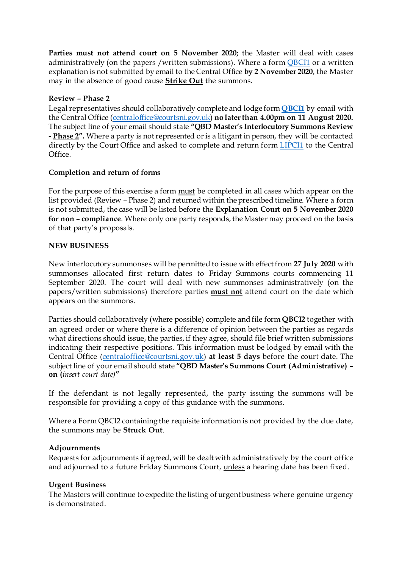**Parties must not attend court on 5 November 2020;** the Master will deal with cases administratively (on the papers /written submissions). Where a form [QBCI1](https://judiciaryni.uk/sites/judiciary/files/media-files/FORM%20QBCI1%20%20QUEENS%20BENCH%20DIVISION%20Business%20Continuity%20Covid%2019%20V5.0%20Issued%205.6.20.DOC) or a written explanation is not submitted by email to the Central Office **by 2 November 2020**, the Master may in the absence of good cause **Strike Out** the summons.

## **Review – Phase 2**

Legal representatives should collaboratively complete and lodge form **[QBCI1](https://judiciaryni.uk/sites/judiciary/files/media-files/FORM%20QBCI1%20%20QUEENS%20BENCH%20DIVISION%20Business%20Continuity%20Covid%2019%20V5.0%20Issued%205.6.20.DOC)** by email with the Central Office [\(centraloffice@courtsni.gov.uk\)](mailto:centraloffice@courtsni.gov.uk) **no later than 4.00pm on 11 August 2020.** The subject line of your email should state **"QBD Master's Interlocutory Summons Review - Phase 2".** Where a party is not represented or is a litigant in person, they will be contacted directly by the Court Office and asked to complete and return form [LIPCI1](https://judiciaryni.uk/sites/judiciary/files/media-files/FORM%20LIPCI1%20LIP%20%20Unrepresented%20Parties%20Business%20Continuity%20Covid%2019%20V3.0%20Issued%2011.5.20.DOC) to the Central Office.

## **Completion and return of forms**

For the purpose of this exercise a form must be completed in all cases which appear on the list provided (Review – Phase 2) and returned within the prescribed timeline. Where a form is not submitted, the case will be listed before the **Explanation Court on 5 November 2020 for non – compliance**. Where only one party responds, the Master may proceed on the basis of that party's proposals.

### **NEW BUSINESS**

New interlocutory summonses will be permitted to issue with effect from **27 July 2020** with summonses allocated first return dates to Friday Summons courts commencing 11 September 2020. The court will deal with new summonses administratively (on the papers/written submissions) therefore parties **must not** attend court on the date which appears on the summons.

Parties should collaboratively (where possible) complete and file form **QBCI2** together with an agreed order or where there is a difference of opinion between the parties as regards what directions should issue, the parties, if they agree, should file brief written submissions indicating their respective positions. This information must be lodged by email with the Central Office [\(centraloffice@courtsni.gov.uk](mailto:centraloffice@courtsni.gov.uk)) **at least 5 days** before the court date. The subject line of your email should state **"QBD Master's Summons Court (Administrative) – on (***insert court date)***"**

If the defendant is not legally represented, the party issuing the summons will be responsible for providing a copy of this guidance with the summons.

Where a Form QBCl2 containing the requisite information is not provided by the due date, the summons may be **Struck Out**.

### **Adjournments**

Requests for adjournments if agreed, will be dealt with administratively by the court office and adjourned to a future Friday Summons Court, unless a hearing date has been fixed.

### **Urgent Business**

The Masters will continue to expedite the listing of urgent business where genuine urgency is demonstrated.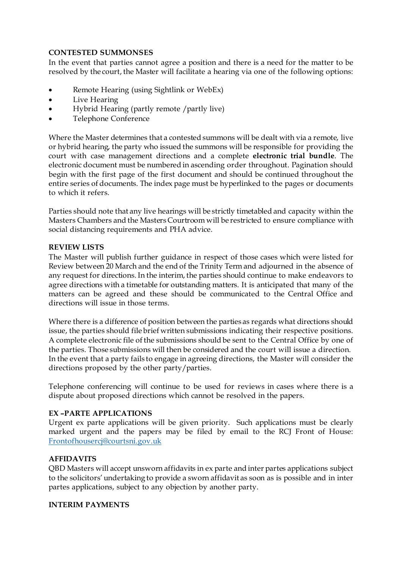## **CONTESTED SUMMONSES**

In the event that parties cannot agree a position and there is a need for the matter to be resolved by the court, the Master will facilitate a hearing via one of the following options:

- Remote Hearing (using Sightlink or WebEx)
- Live Hearing
- Hybrid Hearing (partly remote /partly live)
- Telephone Conference

Where the Master determines that a contested summons will be dealt with via a remote, live or hybrid hearing, the party who issued the summons will be responsible for providing the court with case management directions and a complete **electronic trial bundle**. The electronic document must be numbered in ascending order throughout. Pagination should begin with the first page of the first document and should be continued throughout the entire series of documents. The index page must be hyperlinked to the pages or documents to which it refers.

Parties should note that any live hearings will be strictly timetabled and capacity within the Masters Chambers and the Masters Courtroom will be restricted to ensure compliance with social distancing requirements and PHA advice.

### **REVIEW LISTS**

The Master will publish further guidance in respect of those cases which were listed for Review between 20 March and the end of the Trinity Term and adjourned in the absence of any request for directions. In the interim, the parties should continue to make endeavors to agree directions with a timetable for outstanding matters. It is anticipated that many of the matters can be agreed and these should be communicated to the Central Office and directions will issue in those terms.

Where there is a difference of position between the parties as regards what directions should issue, the parties should file brief written submissions indicating their respective positions. A complete electronic file of the submissions should be sent to the Central Office by one of the parties. Those submissions will then be considered and the court will issue a direction. In the event that a party fails to engage in agreeing directions, the Master will consider the directions proposed by the other party/parties.

Telephone conferencing will continue to be used for reviews in cases where there is a dispute about proposed directions which cannot be resolved in the papers.

### **EX –PARTE APPLICATIONS**

Urgent ex parte applications will be given priority. Such applications must be clearly marked urgent and the papers may be filed by email to the RCJ Front of House: [Frontofhousercj@courtsni.gov.uk](mailto:Frontofhousercj@courtsni.gov.uk)

### **AFFIDAVITS**

QBD Masters will accept unsworn affidavits in ex parte and inter partes applications subject to the solicitors' undertaking to provide a sworn affidavit as soon as is possible and in inter partes applications, subject to any objection by another party.

### **INTERIM PAYMENTS**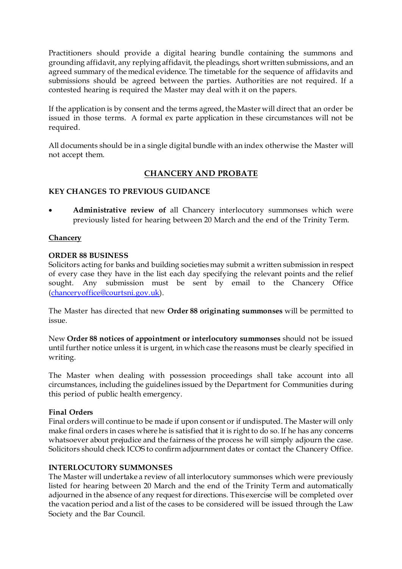Practitioners should provide a digital hearing bundle containing the summons and grounding affidavit, any replying affidavit, the pleadings, short written submissions, and an agreed summary of the medical evidence. The timetable for the sequence of affidavits and submissions should be agreed between the parties. Authorities are not required. If a contested hearing is required the Master may deal with it on the papers.

If the application is by consent and the terms agreed, the Master will direct that an order be issued in those terms. A formal ex parte application in these circumstances will not be required.

All documents should be in a single digital bundle with an index otherwise the Master will not accept them.

# **CHANCERY AND PROBATE**

# **KEY CHANGES TO PREVIOUS GUIDANCE**

• **Administrative review of** all Chancery interlocutory summonses which were previously listed for hearing between 20 March and the end of the Trinity Term.

## **Chancery**

## **ORDER 88 BUSINESS**

Solicitors acting for banks and building societies may submit a written submission in respect of every case they have in the list each day specifying the relevant points and the relief sought. Any submission must be sent by email to the Chancery Office [\(chanceryoffice@courtsni.gov.uk](mailto:chanceryoffice@courtsni.gov.uk)).

The Master has directed that new **Order 88 originating summonses** will be permitted to issue.

New **Order 88 notices of appointment or interlocutory summonses** should not be issued until further notice unless it is urgent, in which case the reasons must be clearly specified in writing.

The Master when dealing with possession proceedings shall take account into all circumstances, including the guidelines issued by the Department for Communities during this period of public health emergency.

### **Final Orders**

Final orders will continue to be made if upon consent or if undisputed. The Master will only make final orders in cases where he is satisfied that it is right to do so. If he has any concerns whatsoever about prejudice and the fairness of the process he will simply adjourn the case. Solicitors should check ICOS to confirm adjournment dates or contact the Chancery Office.

# **INTERLOCUTORY SUMMONSES**

The Master will undertake a review of all interlocutory summonses which were previously listed for hearing between 20 March and the end of the Trinity Term and automatically adjourned in the absence of any request for directions. This exercise will be completed over the vacation period and a list of the cases to be considered will be issued through the Law Society and the Bar Council.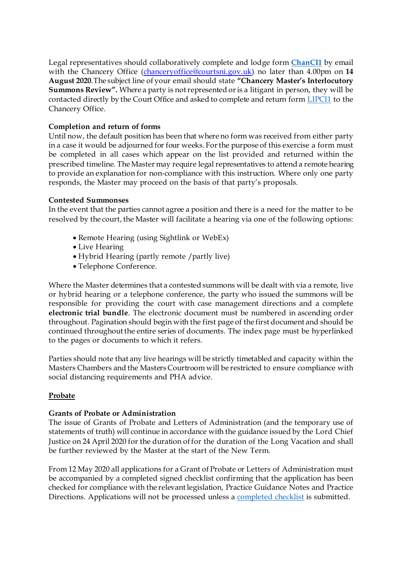Legal representatives should collaboratively complete and lodge form **[ChanCI1](https://judiciaryni.uk/sites/judiciary/files/media-files/FORM%20ChanCI1%20%20Chancery%20Court%20Business%20Continuity%20V5.0%20Issued%205.6.20.DOC)** by email with the Chancery Office [\(chanceryoffice@courtsni.gov.uk](mailto:chanceryoffice@courtsni.gov.uk)) no later than 4.00pm on **14 August 2020***.*The subject line of your email should state **"Chancery Master's Interlocutory Summons Review".** Where a party is not represented or is a litigant in person, they will be contacted directly by the Court Office and asked to complete and return form **[LIPCI1](https://judiciaryni.uk/sites/judiciary/files/media-files/FORM%20LIPCI1%20LIP%20%20Unrepresented%20Parties%20Business%20Continuity%20Covid%2019%20V3.0%20Issued%2011.5.20.DOC)** to the Chancery Office.

## **Completion and return of forms**

Until now, the default position has been that where no form was received from either party in a case it would be adjourned for four weeks. For the purpose of this exercise a form must be completed in all cases which appear on the list provided and returned within the prescribed timeline. The Master may require legal representatives to attend a remote hearing to provide an explanation for non-compliance with this instruction. Where only one party responds, the Master may proceed on the basis of that party's proposals.

### **Contested Summonses**

In the event that the parties cannot agree a position and there is a need for the matter to be resolved by the court, the Master will facilitate a hearing via one of the following options:

- Remote Hearing (using Sightlink or WebEx)
- Live Hearing
- Hybrid Hearing (partly remote /partly live)
- Telephone Conference.

Where the Master determines that a contested summons will be dealt with via a remote, live or hybrid hearing or a telephone conference, the party who issued the summons will be responsible for providing the court with case management directions and a complete **electronic trial bundle**. The electronic document must be numbered in ascending order throughout. Pagination should begin with the first page of the first document and should be continued throughout the entire series of documents. The index page must be hyperlinked to the pages or documents to which it refers.

Parties should note that any live hearings will be strictly timetabled and capacity within the Masters Chambers and the Masters Courtroom will be restricted to ensure compliance with social distancing requirements and PHA advice.

# **Probate**

# **Grants of Probate or Administration**

The issue of Grants of Probate and Letters of Administration (and the temporary use of statements of truth) will continue in accordance with the guidance issued by the Lord Chief Justice on 24 April 2020 for the duration of for the duration of the Long Vacation and shall be further reviewed by the Master at the start of the New Term.

From 12 May 2020 all applications for a Grant of Probate or Letters of Administration must be accompanied by a completed signed checklist confirming that the application has been checked for compliance with the relevant legislation, Practice Guidance Notes and Practice Directions. Applications will not be processed unles[s a completed checkli](https://judiciaryni.uk/sites/judiciary/files/media-files/Covid-19%20-%20Application%20for%20Grant%20of%20Probate%20or%20Administration%20Checklist%20-%20210520.doc)st is submitted.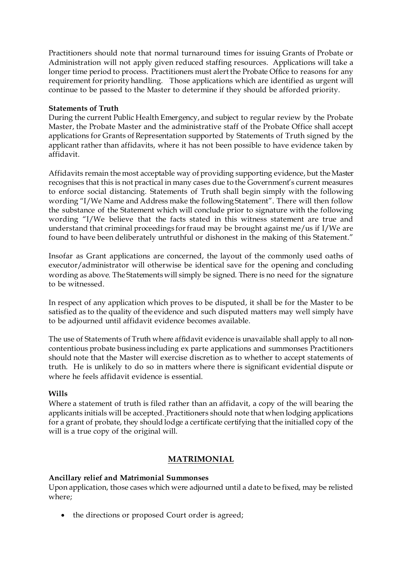Practitioners should note that normal turnaround times for issuing Grants of Probate or Administration will not apply given reduced staffing resources. Applications will take a longer time period to process. Practitioners must alert the Probate Office to reasons for any requirement for priority handling. Those applications which are identified as urgent will continue to be passed to the Master to determine if they should be afforded priority.

### **Statements of Truth**

During the current Public Health Emergency, and subject to regular review by the Probate Master, the Probate Master and the administrative staff of the Probate Office shall accept applications for Grants of Representation supported by Statements of Truth signed by the applicant rather than affidavits, where it has not been possible to have evidence taken by affidavit.

Affidavits remain the most acceptable way of providing supporting evidence, but the Master recognises that this is not practical in many cases due to the Government's current measures to enforce social distancing. Statements of Truth shall begin simply with the following wording "I/We Name and Address make the following Statement". There will then follow the substance of the Statement which will conclude prior to signature with the following wording "I/We believe that the facts stated in this witness statement are true and understand that criminal proceedings for fraud may be brought against me/us if I/We are found to have been deliberately untruthful or dishonest in the making of this Statement."

Insofar as Grant applications are concerned, the layout of the commonly used oaths of executor/administrator will otherwise be identical save for the opening and concluding wording as above. The Statements will simply be signed. There is no need for the signature to be witnessed.

In respect of any application which proves to be disputed, it shall be for the Master to be satisfied as to the quality of the evidence and such disputed matters may well simply have to be adjourned until affidavit evidence becomes available.

The use of Statements of Truth where affidavit evidence is unavailable shall apply to all noncontentious probate business including ex parte applications and summonses Practitioners should note that the Master will exercise discretion as to whether to accept statements of truth. He is unlikely to do so in matters where there is significant evidential dispute or where he feels affidavit evidence is essential

# **Wills**

Where a statement of truth is filed rather than an affidavit, a copy of the will bearing the applicants initials will be accepted. Practitioners should note that when lodging applications for a grant of probate, they should lodge a certificate certifying that the initialled copy of the will is a true copy of the original will.

# **MATRIMONIAL**

# **Ancillary relief and Matrimonial Summonses**

Upon application, those cases which were adjourned until a date to be fixed, may be relisted where;

• the directions or proposed Court order is agreed;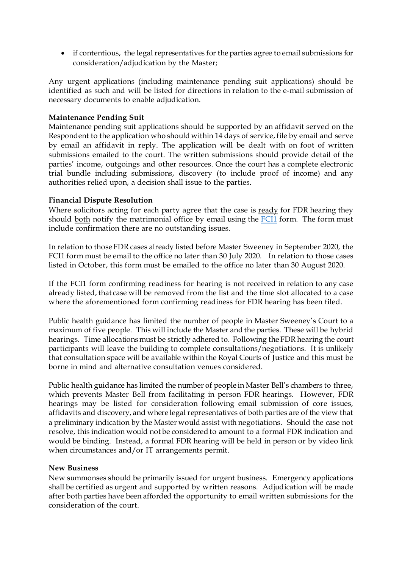• if contentious, the legal representatives for the parties agree to email submissions for consideration/adjudication by the Master;

Any urgent applications (including maintenance pending suit applications) should be identified as such and will be listed for directions in relation to the e-mail submission of necessary documents to enable adjudication.

### **Maintenance Pending Suit**

Maintenance pending suit applications should be supported by an affidavit served on the Respondent to the application who should within 14 days of service, file by email and serve by email an affidavit in reply. The application will be dealt with on foot of written submissions emailed to the court. The written submissions should provide detail of the parties' income, outgoings and other resources. Once the court has a complete electronic trial bundle including submissions, discovery (to include proof of income) and any authorities relied upon, a decision shall issue to the parties.

## **Financial Dispute Resolution**

Where solicitors acting for each party agree that the case is ready for FDR hearing they should both notify the matrimonial office by email using the [FCI1](https://judiciaryni.uk/sites/judiciary/files/media-files/FORM%20FCI1%20-%20Family%20Business%20Continuity%20Covid-19%20V5.0%20Issued%205.6.20.DOC) form. The form must include confirmation there are no outstanding issues.

In relation to those FDR cases already listed before Master Sweeney in September 2020, the FCI1 form must be email to the office no later than 30 July 2020. In relation to those cases listed in October, this form must be emailed to the office no later than 30 August 2020.

If the FCI1 form confirming readiness for hearing is not received in relation to any case already listed, that case will be removed from the list and the time slot allocated to a case where the aforementioned form confirming readiness for FDR hearing has been filed.

Public health guidance has limited the number of people in Master Sweeney's Court to a maximum of five people. This will include the Master and the parties. These will be hybrid hearings. Time allocations must be strictly adhered to. Following the FDR hearing the court participants will leave the building to complete consultations/negotiations. It is unlikely that consultation space will be available within the Royal Courts of Justice and this must be borne in mind and alternative consultation venues considered.

Public health guidance has limited the number of people in Master Bell's chambers to three, which prevents Master Bell from facilitating in person FDR hearings. However, FDR hearings may be listed for consideration following email submission of core issues, affidavits and discovery, and where legal representatives of both parties are of the view that a preliminary indication by the Master would assist with negotiations. Should the case not resolve, this indication would not be considered to amount to a formal FDR indication and would be binding. Instead, a formal FDR hearing will be held in person or by video link when circumstances and/or IT arrangements permit.

### **New Business**

New summonses should be primarily issued for urgent business. Emergency applications shall be certified as urgent and supported by written reasons. Adjudication will be made after both parties have been afforded the opportunity to email written submissions for the consideration of the court.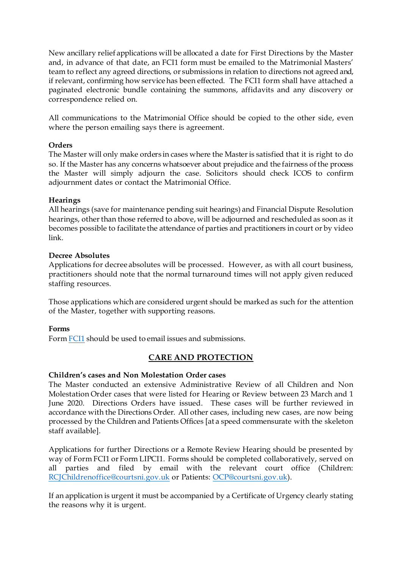New ancillary relief applications will be allocated a date for First Directions by the Master and, in advance of that date, an FCI1 form must be emailed to the Matrimonial Masters' team to reflect any agreed directions, or submissions in relation to directions not agreed and, if relevant, confirming how service has been effected. The FCI1 form shall have attached a paginated electronic bundle containing the summons, affidavits and any discovery or correspondence relied on.

All communications to the Matrimonial Office should be copied to the other side, even where the person emailing says there is agreement.

## **Orders**

The Master will only make orders in cases where the Master is satisfied that it is right to do so. If the Master has any concerns whatsoever about prejudice and the fairness of the process the Master will simply adjourn the case. Solicitors should check ICOS to confirm adjournment dates or contact the Matrimonial Office.

## **Hearings**

All hearings (save for maintenance pending suit hearings) and Financial Dispute Resolution hearings, other than those referred to above, will be adjourned and rescheduled as soon as it becomes possible to facilitate the attendance of parties and practitioners in court or by video link.

## **Decree Absolutes**

Applications for decree absolutes will be processed. However, as with all court business, practitioners should note that the normal turnaround times will not apply given reduced staffing resources.

Those applications which are considered urgent should be marked as such for the attention of the Master, together with supporting reasons.

### **Forms**

Form [FCI1](https://judiciaryni.uk/sites/judiciary/files/media-files/FORM%20FCI1%20-%20Family%20Business%20Continuity%20Covid-19%20V5.0%20Issued%205.6.20.DOC) should be used to email issues and submissions.

# **CARE AND PROTECTION**

# **Children's cases and Non Molestation Order cases**

The Master conducted an extensive Administrative Review of all Children and Non Molestation Order cases that were listed for Hearing or Review between 23 March and 1 June 2020. Directions Orders have issued. These cases will be further reviewed in accordance with the Directions Order. All other cases, including new cases, are now being processed by the Children and Patients Offices [at a speed commensurate with the skeleton staff available].

Applications for further Directions or a Remote Review Hearing should be presented by way of Form FCI1 or Form LIPCI1. Forms should be completed collaboratively, served on all parties and filed by email with the relevant court office (Children: [RCJChildrenoffice@courtsni.gov.uk](mailto:RCJChildrenoffice@courtsni.gov.uk) or Patien[ts: OCP@courtsni.gov.u](mailto:OCP@courtsni.gov.uk)k).

If an application is urgent it must be accompanied by a Certificate of Urgency clearly stating the reasons why it is urgent.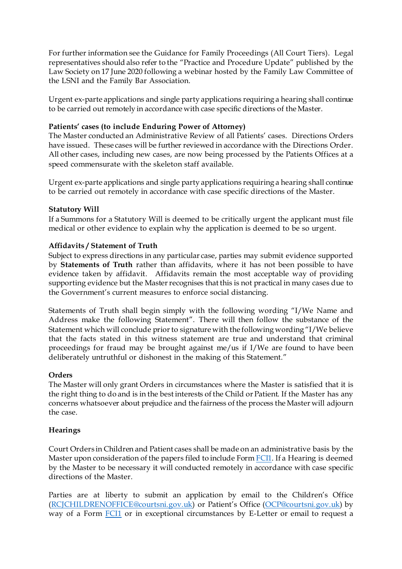For further information see the Guidance for Family Proceedings (All Court Tiers). Legal representatives should also refer to the "Practice and Procedure Update" published by the Law Society on 17 June 2020 following a webinar hosted by the Family Law Committee of the LSNI and the Family Bar Association.

Urgent ex-parte applications and single party applications requiring a hearing shall continue to be carried out remotely in accordance with case specific directions of the Master.

## **Patients' cases (to include Enduring Power of Attorney)**

The Master conducted an Administrative Review of all Patients' cases. Directions Orders have issued. These cases will be further reviewed in accordance with the Directions Order. All other cases, including new cases, are now being processed by the Patients Offices at a speed commensurate with the skeleton staff available.

Urgent ex-parte applications and single party applications requiring a hearing shall continue to be carried out remotely in accordance with case specific directions of the Master.

## **Statutory Will**

If a Summons for a Statutory Will is deemed to be critically urgent the applicant must file medical or other evidence to explain why the application is deemed to be so urgent.

## **Affidavits / Statement of Truth**

Subject to express directions in any particular case, parties may submit evidence supported by **Statements of Truth** rather than affidavits, where it has not been possible to have evidence taken by affidavit. Affidavits remain the most acceptable way of providing supporting evidence but the Master recognises that this is not practical in many cases due to the Government's current measures to enforce social distancing.

Statements of Truth shall begin simply with the following wording "I/We Name and Address make the following Statement". There will then follow the substance of the Statement which will conclude prior to signature with the following wording "I/We believe that the facts stated in this witness statement are true and understand that criminal proceedings for fraud may be brought against me/us if I/We are found to have been deliberately untruthful or dishonest in the making of this Statement."

### **Orders**

The Master will only grant Orders in circumstances where the Master is satisfied that it is the right thing to do and is in the best interests of the Child or Patient. If the Master has any concerns whatsoever about prejudice and the fairness of the process the Master will adjourn the case.

### **Hearings**

Court Orders in Children and Patient cases shall be made on an administrative basis by the Master upon consideration of the papers filed to include Form [FCI1.](https://judiciaryni.uk/sites/judiciary/files/media-files/FORM%20FCI1%20-%20Family%20Business%20Continuity%20Covid-19%20V5.0%20Issued%205.6.20.DOC) If a Hearing is deemed by the Master to be necessary it will conducted remotely in accordance with case specific directions of the Master.

Parties are at liberty to submit an application by email to the Children's Office [\(RCJCHILDRENOFFICE@courtsni.gov.uk](mailto:RCJCHILDRENOFFICE@courtsni.gov.uk)) or Patient's Office [\(OCP@courtsni.gov.uk](mailto:OCP@courtsni.gov.uk)) by way of a Form [FCI1](https://judiciaryni.uk/sites/judiciary/files/media-files/FORM%20FCI1%20-%20Family%20Business%20Continuity%20Covid-19%20V5.0%20Issued%205.6.20.DOC) or in exceptional circumstances by E-Letter or email to request a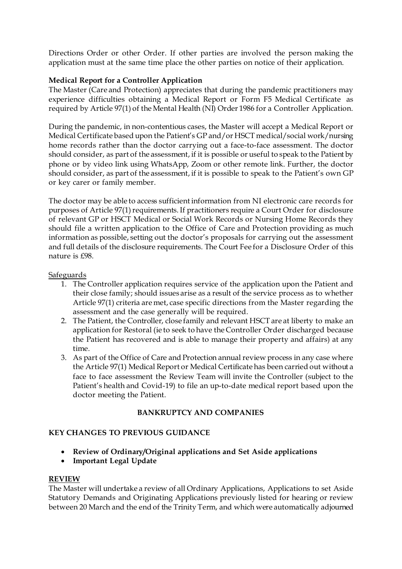Directions Order or other Order. If other parties are involved the person making the application must at the same time place the other parties on notice of their application.

## **Medical Report for a Controller Application**

The Master (Care and Protection) appreciates that during the pandemic practitioners may experience difficulties obtaining a Medical Report or Form F5 Medical Certificate as required by Article 97(1) of the Mental Health (NI) Order 1986 for a Controller Application.

During the pandemic, in non-contentious cases, the Master will accept a Medical Report or Medical Certificate based upon the Patient's GP and/or HSCT medical/social work/nursing home records rather than the doctor carrying out a face-to-face assessment. The doctor should consider, as part of the assessment, if it is possible or useful to speak to the Patient by phone or by video link using WhatsApp, Zoom or other remote link. Further, the doctor should consider, as part of the assessment, if it is possible to speak to the Patient's own GP or key carer or family member.

The doctor may be able to access sufficient information from NI electronic care records for purposes of Article 97(1) requirements. If practitioners require a Court Order for disclosure of relevant GP or HSCT Medical or Social Work Records or Nursing Home Records they should file a written application to the Office of Care and Protection providing as much information as possible, setting out the doctor's proposals for carrying out the assessment and full details of the disclosure requirements. The Court Fee for a Disclosure Order of this nature is £98.

### **Safeguards**

- 1. The Controller application requires service of the application upon the Patient and their close family; should issues arise as a result of the service process as to whether Article 97(1) criteria are met, case specific directions from the Master regarding the assessment and the case generally will be required.
- 2. The Patient, the Controller, close family and relevant HSCT are at liberty to make an application for Restoral (ie to seek to have the Controller Order discharged because the Patient has recovered and is able to manage their property and affairs) at any time.
- 3. As part of the Office of Care and Protection annual review process in any case where the Article 97(1) Medical Report or Medical Certificate has been carried out without a face to face assessment the Review Team will invite the Controller (subject to the Patient's health and Covid-19) to file an up-to-date medical report based upon the doctor meeting the Patient.

# **BANKRUPTCY AND COMPANIES**

### **KEY CHANGES TO PREVIOUS GUIDANCE**

- **Review of Ordinary/Original applications and Set Aside applications**
- **Important Legal Update**

### **REVIEW**

The Master will undertake a review of all Ordinary Applications, Applications to set Aside Statutory Demands and Originating Applications previously listed for hearing or review between 20 March and the end of the Trinity Term, and which were automatically adjourned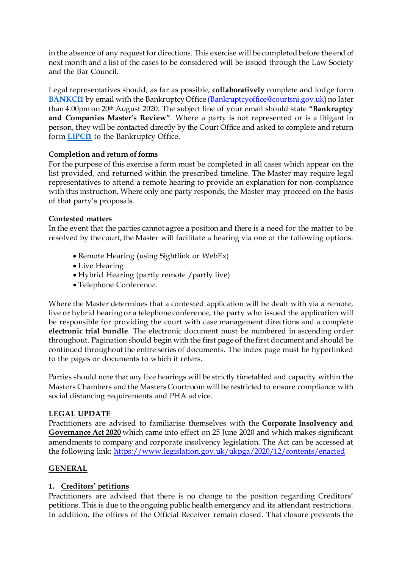in the absence of any request for directions. This exercise will be completed before the end of next month and a list of the cases to be considered will be issued through the Law Society and the Bar Council.

Legal representatives should, as far as possible, **collaboratively** complete and lodge form **[BANKCI1](https://judiciaryni.uk/sites/judiciary/files/media-files/FORM%20BankCI1%20Bankruptcy%20and%20Companies%20Court%20Business%20Continuity%20-%20280720....doc)** by email with the Bankruptcy Office [\(Bankruptcyoffice@courtsni.gov.uk\)](mailto:(Bankruptcyoffice@courtsni.gov.uk) no later than 4.00pm on 20th August 2020. The subject line of your email should state **"Bankruptcy and Companies Master's Review"**. Where a party is not represented or is a litigant in person, they will be contacted directly by the Court Office and asked to complete and return form **[LIPCI1](https://judiciaryni.uk/sites/judiciary/files/media-files/FORM%20LIPCI1%20LIP%20%20Unrepresented%20Parties%20Business%20Continuity%20Covid%2019%20V3.0%20Issued%2011.5.20.DOC)** to the Bankruptcy Office.

# **Completion and return of forms**

For the purpose of this exercise a form must be completed in all cases which appear on the list provided, and returned within the prescribed timeline. The Master may require legal representatives to attend a remote hearing to provide an explanation for non-compliance with this instruction. Where only one party responds, the Master may proceed on the basis of that party's proposals.

## **Contested matters**

In the event that the parties cannot agree a position and there is a need for the matter to be resolved by the court, the Master will facilitate a hearing via one of the following options:

- Remote Hearing (using Sightlink or WebEx)
- Live Hearing
- Hybrid Hearing (partly remote /partly live)
- Telephone Conference.

Where the Master determines that a contested application will be dealt with via a remote, live or hybrid hearing or a telephone conference, the party who issued the application will be responsible for providing the court with case management directions and a complete **electronic trial bundle**. The electronic document must be numbered in ascending order throughout. Pagination should begin with the first page of the first document and should be continued throughout the entire series of documents. The index page must be hyperlinked to the pages or documents to which it refers.

Parties should note that any live hearings will be strictly timetabled and capacity within the Masters Chambers and the Masters Courtroom will be restricted to ensure compliance with social distancing requirements and PHA advice.

### **LEGAL UPDATE**

Practitioners are advised to familiarise themselves with the **Corporate Insolvency and Governance Act 2020** which came into effect on 25 June 2020 and which makes significant amendments to company and corporate insolvency legislation. The Act can be accessed at the following lin[k: https://www.legislation.gov.uk/ukpga/2020/12/contents/enacte](https://www.legislation.gov.uk/ukpga/2020/12/contents/enacted)d

# **GENERAL**

# **1. Creditors' petitions**

Practitioners are advised that there is no change to the position regarding Creditors' petitions. This is due to the ongoing public health emergency and its attendant restrictions. In addition, the offices of the Official Receiver remain closed. That closure prevents the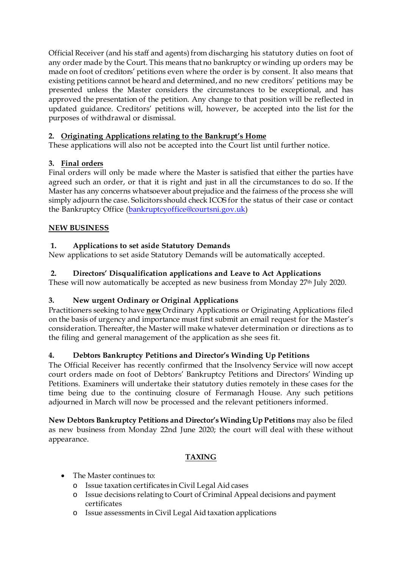Official Receiver (and his staff and agents) from discharging his statutory duties on foot of any order made by the Court. This means that no bankruptcy or winding up orders may be made on foot of creditors' petitions even where the order is by consent. It also means that existing petitions cannot be heard and determined, and no new creditors' petitions may be presented unless the Master considers the circumstances to be exceptional, and has approved the presentation of the petition. Any change to that position will be reflected in updated guidance. Creditors' petitions will, however, be accepted into the list for the purposes of withdrawal or dismissal.

# **2. Originating Applications relating to the Bankrupt's Home**

These applications will also not be accepted into the Court list until further notice.

# **3. Final orders**

Final orders will only be made where the Master is satisfied that either the parties have agreed such an order, or that it is right and just in all the circumstances to do so. If the Master has any concerns whatsoever about prejudice and the fairness of the process she will simply adjourn the case. Solicitors should check ICOS for the status of their case or contact the Bankruptcy Office [\(bankruptcyoffice@courtsni.gov.u](mailto:bankruptcyoffice@courtsni.gov.uk)k)

# **NEW BUSINESS**

# **1. Applications to set aside Statutory Demands**

New applications to set aside Statutory Demands will be automatically accepted.

# **2. Directors' Disqualification applications and Leave to Act Applications**

These will now automatically be accepted as new business from Monday 27<sup>th</sup> July 2020.

# **3. New urgent Ordinary or Original Applications**

Practitioners seeking to have **new** Ordinary Applications or Originating Applications filed on the basis of urgency and importance must first submit an email request for the Master's consideration. Thereafter, the Master will make whatever determination or directions as to the filing and general management of the application as she sees fit.

# **4. Debtors Bankruptcy Petitions and Director's Winding Up Petitions**

The Official Receiver has recently confirmed that the Insolvency Service will now accept court orders made on foot of Debtors' Bankruptcy Petitions and Directors' Winding up Petitions. Examiners will undertake their statutory duties remotely in these cases for the time being due to the continuing closure of Fermanagh House. Any such petitions adjourned in March will now be processed and the relevant petitioners informed.

**New Debtors Bankruptcy Petitions and Director's Winding Up Petitions** may also be filed as new business from Monday 22nd June 2020; the court will deal with these without appearance.

# **TAXING**

- The Master continues to:
	- o Issue taxation certificates in Civil Legal Aid cases
	- o Issue decisions relating to Court of Criminal Appeal decisions and payment certificates
	- o Issue assessments in Civil Legal Aid taxation applications